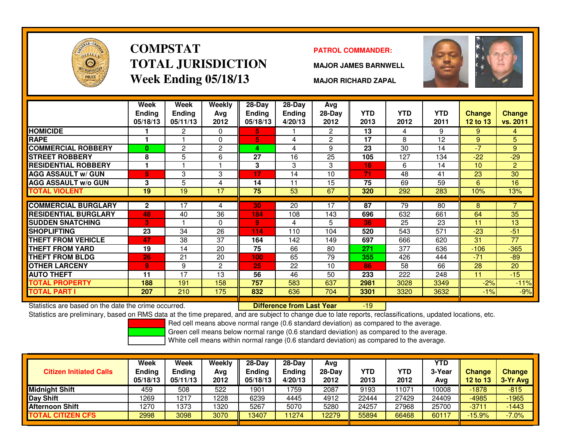

# **COMPSTATTOTAL JURISDICTIONWeek Ending 05/18/13**

### **PATROL COMMANDER:**

**MAJOR JAMES BARNWELL**



**MAJOR RICHARD ZAPAL**

|                             | Week<br><b>Ending</b><br>05/18/13 | Week<br><b>Ending</b><br>05/11/13 | Weekly<br>Avg<br>2012 | $28$ -Day<br>Ending<br>05/18/13 | $28$ -Day<br><b>Ending</b><br>4/20/13 | Avg<br>28-Day<br>2012 | <b>YTD</b><br>2013 | <b>YTD</b><br>2012 | <b>YTD</b><br>2011 | Change<br><b>12 to 13</b> | <b>Change</b><br>vs. 2011 |
|-----------------------------|-----------------------------------|-----------------------------------|-----------------------|---------------------------------|---------------------------------------|-----------------------|--------------------|--------------------|--------------------|---------------------------|---------------------------|
| <b>HOMICIDE</b>             |                                   | 2                                 | $\Omega$              | 5.                              |                                       | $\mathbf{2}^{\circ}$  | 13                 | 4                  | 9                  | 9                         | 4                         |
| <b>RAPE</b>                 | 1                                 |                                   | $\Omega$              | 5                               | 4                                     | $\overline{c}$        | 17                 | 8                  | 12                 | 9                         | 5                         |
| <b>COMMERCIAL ROBBERY</b>   | 0                                 | 2                                 | 2                     | 4                               | 4                                     | 9                     | 23                 | 30                 | 14                 | $-7$                      | 9                         |
| <b>STREET ROBBERY</b>       | 8                                 | 5                                 | 6                     | 27                              | 16                                    | 25                    | 105                | 127                | 134                | $-22$                     | $-29$                     |
| <b>RESIDENTIAL ROBBERY</b>  | 1                                 |                                   |                       | 3                               | 3                                     | 3                     | 16                 | 6                  | 14                 | 10                        | $\overline{2}$            |
| <b>AGG ASSAULT w/ GUN</b>   | 5                                 | 3                                 | 3                     | 17                              | 14                                    | 10                    | 71                 | 48                 | 41                 | 23                        | 30                        |
| <b>AGG ASSAULT w/o GUN</b>  | 3                                 | 5                                 | 4                     | 14                              | 11                                    | 15                    | 75                 | 69                 | 59                 | 6                         | 16                        |
| TOTAL VIOLENT               | 19                                | 19                                | 17                    | 75                              | 53                                    | 67                    | 320                | 292                | 283                | 10%                       | 13%                       |
|                             |                                   |                                   |                       |                                 |                                       |                       |                    |                    |                    |                           |                           |
| <b>COMMERCIAL BURGLARY</b>  | $\mathbf{2}$                      | 17                                | 4                     | 30                              | 20                                    | 17                    | $\overline{87}$    | $\overline{79}$    | 80                 | 8                         |                           |
| <b>RESIDENTIAL BURGLARY</b> | 48                                | 40                                | 36                    | 184                             | 108                                   | 143                   | 696                | 632                | 661                | 64                        | 35                        |
| <b>SUDDEN SNATCHING</b>     | 3                                 |                                   | $\Omega$              | 9 <sup>°</sup>                  | 4                                     | 5                     | 36                 | 25                 | 23                 | 11                        | 13                        |
| <b>SHOPLIFTING</b>          | 23                                | 34                                | 26                    | 114                             | 110                                   | 104                   | 520                | 543                | 571                | $-23$                     | $-51$                     |
| <b>THEFT FROM VEHICLE</b>   | 47                                | 38                                | 37                    | 164                             | 142                                   | 149                   | 697                | 666                | 620                | 31                        | 77                        |
| THEFT FROM YARD             | 19                                | 14                                | 20                    | 75                              | 66                                    | 80                    | 271                | 377                | 636                | $-106$                    | $-365$                    |
| THEFT FROM BLDG             | 26                                | 21                                | 20                    | 100                             | 65                                    | 79                    | 355                | 426                | 444                | $-71$                     | $-89$                     |
| <b>OTHER LARCENY</b>        | 9                                 | 9                                 | $\mathbf{2}$          | 25                              | 22                                    | 10                    | 86                 | 58                 | 66                 | 28                        | 20                        |
| <b>AUTO THEFT</b>           | 11                                | 17                                | 13                    | 56                              | 46                                    | 50                    | 233                | 222                | 248                | 11                        | $-15$                     |
| <b>TOTAL PROPERTY</b>       | 188                               | 191                               | 158                   | 757                             | 583                                   | 637                   | 2981               | 3028               | 3349               | $-2%$                     | $-11%$                    |
| <b>TOTAL PART I</b>         | 207                               | 210                               | 175                   | 832                             | 636                                   | 704                   | 3301               | 3320               | 3632               | $-1%$                     | $-9%$                     |

Statistics are based on the date the crime occurred. **Difference from Last Year** 

Statistics are based on the date the crime occurred. **[89] Luite Luite Lite of Last Year Mark 1999** The based on RMS data at the time prepared, and are subject to change due to late reports, reclassifications, updated loca

Red cell means above normal range (0.6 standard deviation) as compared to the average.

Green cell means below normal range (0.6 standard deviation) as compared to the average.

| <b>Citizen Initiated Calls</b> | Week<br><b>Ending</b><br>05/18/13 | <b>Week</b><br><b>Ending</b><br>05/11/13 | Weekly<br>Avg<br>2012 | $28-Dav$<br><b>Ending</b><br>05/18/13 | $28-Day$<br><b>Ending</b><br>4/20/13 | Avg<br>$28-Dav$<br>2012 | YTD<br>2013 | YTD<br>2012 | <b>YTD</b><br>3-Year<br>Ava | <b>Change</b><br><b>12 to 13</b> | <b>Change</b><br>3-Yr Avg |
|--------------------------------|-----------------------------------|------------------------------------------|-----------------------|---------------------------------------|--------------------------------------|-------------------------|-------------|-------------|-----------------------------|----------------------------------|---------------------------|
| <b>Midnight Shift</b>          | 459                               | 508                                      | 522                   | 1901                                  | 759                                  | 2087                    | 9193        | 1071        | 10008                       | $-1878$                          | $-815$                    |
| Day Shift                      | 1269                              | 1217                                     | 1228                  | 6239                                  | 4445                                 | 4912                    | 22444       | 27429       | 24409                       | $-4985$                          | $-1965$                   |
| <b>Afternoon Shift</b>         | 1270                              | 1373                                     | 1320                  | 5267                                  | 5070                                 | 5280                    | 24257       | 27968       | 25700                       | $-3711$                          | $-1443$                   |
| <b>TOTAL CITIZEN CFS</b>       | 2998                              | 3098                                     | 3070                  | 13407                                 | 11274                                | 2279                    | 55894       | 66468       | 60117                       | $-15.9%$                         | $-7.0%$                   |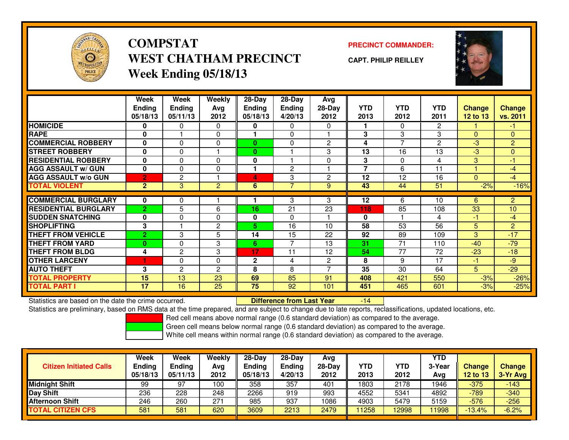

**COMPSTATWEST CHATHAM PRECINCTWeek Ending 05/18/13**

**PRECINCT COMMANDER:**

**CAPT. PHILIP REILLEY**



|                             | Week           | Week           | <b>Weekly</b>  | $28-Day$     | $28-Day$       | Avg            |                |                |                |               |                |
|-----------------------------|----------------|----------------|----------------|--------------|----------------|----------------|----------------|----------------|----------------|---------------|----------------|
|                             | <b>Ending</b>  | <b>Ending</b>  | Avg            | Ending       | <b>Ending</b>  | 28-Day         | <b>YTD</b>     | <b>YTD</b>     | <b>YTD</b>     | <b>Change</b> | <b>Change</b>  |
|                             | 05/18/13       | 05/11/13       | 2012           | 05/18/13     | 4/20/13        | 2012           | 2013           | 2012           | 2011           | 12 to 13      | vs. 2011       |
| <b>HOMICIDE</b>             | 0              | 0              | 0              | 0            | 0              | $\Omega$       |                | $\Omega$       | $\overline{2}$ |               | $-1$           |
| <b>RAPE</b>                 | $\mathbf{0}$   |                | $\Omega$       |              | $\Omega$       |                | 3              | 3              | 3              | $\Omega$      | $\mathbf{0}$   |
| <b>COMMERCIAL ROBBERY</b>   | 0              | 0              | 0              | $\bf{0}$     | 0              | $\overline{c}$ | 4              | $\overline{7}$ | $\overline{c}$ | $-3$          | $\overline{2}$ |
| <b>STREET ROBBERY</b>       | $\bf{0}$       | 0              |                | $\bf{0}$     |                | 3              | 13             | 16             | 13             | $-3$          | $\overline{0}$ |
| <b>RESIDENTIAL ROBBERY</b>  | 0              | 0              | $\Omega$       | 0            |                | $\Omega$       | 3              | $\Omega$       | 4              | 3             | $-1$           |
| <b>AGG ASSAULT w/ GUN</b>   | $\mathbf{0}$   | $\Omega$       | 0              |              | $\mathbf{2}$   |                | $\overline{7}$ | 6              | 11             |               | $-4$           |
| <b>AGG ASSAULT w/o GUN</b>  | $\overline{2}$ | $\overline{c}$ |                | 4            | 3              | $\overline{2}$ | 12             | 12             | 16             | $\mathbf{0}$  | $-4$           |
| <b>TOTAL VIOLENT</b>        | 2 <sup>1</sup> | 3              | $\overline{2}$ | 6            | 7              | 9              | 43             | 44             | 51             | $-2%$         | $-16%$         |
|                             |                |                |                |              |                |                |                |                |                |               |                |
| <b>COMMERCIAL BURGLARY</b>  | 0              | 0              |                |              | 3              | 3              | 12             | 6              | 10             | 6             | $\overline{2}$ |
| <b>RESIDENTIAL BURGLARY</b> | $\overline{2}$ | 5              | 6              | 16           | 21             | 23             | 118            | 85             | 108            | 33            | 10             |
| <b>SUDDEN SNATCHING</b>     | $\mathbf{0}$   | 0              | $\Omega$       | 0            | $\Omega$       |                | $\bf{0}$       |                | 4              | $-1$          | $-4$           |
| <b>SHOPLIFTING</b>          | 3              |                | 2              | 5            | 16             | 10             | 58             | 53             | 56             | 5             | $\overline{2}$ |
| <b>THEFT FROM VEHICLE</b>   | $\overline{2}$ | 3              | 5              | 14           | 15             | 22             | 92             | 89             | 109            | 3             | $-17$          |
| <b>THEFT FROM YARD</b>      | $\bf{0}$       | 0              | 3              | 6            | $\overline{ }$ | 13             | 31             | 71             | 110            | $-40$         | $-79$          |
| <b>THEFT FROM BLDG</b>      | 4              | 2              | 3              | 17           | 11             | 12             | 54             | 77             | 72             | $-23$         | $-18$          |
| <b>OTHER LARCENY</b>        | Н              | 0              | 0              | $\mathbf{2}$ | 4              | $\overline{c}$ | 8              | 9              | 17             | -1            | $-9$           |
| <b>AUTO THEFT</b>           | 3              | 2              | $\overline{c}$ | 8            | 8              |                | 35             | 30             | 64             | 5             | $-29$          |
| <b>TOTAL PROPERTY</b>       | 15             | 13             | 23             | 69           | 85             | 91             | 408            | 421            | 550            | $-3%$         | $-26%$         |
| <b>TOTAL PART I</b>         | 17             | 16             | 25             | 75           | 92             | 101            | 451            | 465            | 601            | $-3%$         | $-25%$         |

Statistics are based on the date the crime occurred. **Difference from Last Year** 

Statistics are preliminary, based on RMS data at the time prepared, and are subject to change due to late reports, reclassifications, updated locations, etc.

-14

Red cell means above normal range (0.6 standard deviation) as compared to the average.

Green cell means below normal range (0.6 standard deviation) as compared to the average.

| <b>Citizen Initiated Calls</b> | Week<br>Ending<br>05/18/13 | Week<br><b>Ending</b><br>05/11/13 | Weekly<br>Avg<br>2012 | $28-Day$<br>Ending<br>05/18/13 | $28$ -Dav<br><b>Ending</b><br>4/20/13 | Avg<br>28-Day<br>2012 | YTD<br>2013 | YTD<br>2012 | <b>YTD</b><br>3-Year<br>Avg | <b>Change</b><br><b>12 to 13</b> | Change<br>3-Yr Avg |
|--------------------------------|----------------------------|-----------------------------------|-----------------------|--------------------------------|---------------------------------------|-----------------------|-------------|-------------|-----------------------------|----------------------------------|--------------------|
| <b>Midnight Shift</b>          | 99                         | 97                                | 100                   | 358                            | 357                                   | 401                   | 1803        | 2178        | 1946                        | $-375$                           | $-143$             |
| Day Shift                      | 236                        | 228                               | 248                   | 2266                           | 919                                   | 993                   | 4552        | 5341        | 4892                        | $-789$                           | $-340$             |
| <b>Afternoon Shift</b>         | 246                        | 260                               | 271                   | 985                            | 937                                   | 1086                  | 4903        | 5479        | 5159                        | $-576$                           | $-256$             |
| <b>TOTAL CITIZEN CFS</b>       | 581                        | 581                               | 620                   | 3609                           | 2213                                  | 2479                  | 1258        | 12998       | 11998                       | $-13.4%$                         | $-6.2%$            |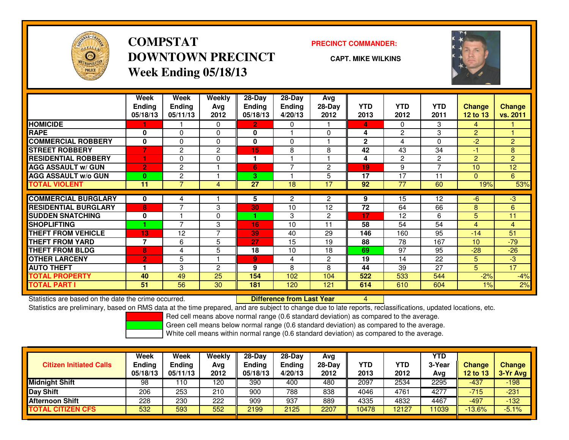

# **COMPSTATDOWNTOWN PRECINCTWeek Ending 05/18/13**

### **PRECINCT COMMANDER:**

**CAPT. MIKE WILKINS**



|                             | Week<br><b>Ending</b> | Week<br><b>Ending</b> | <b>Weekly</b><br>Avg | 28-Day<br><b>Ending</b> | $28-Day$<br><b>Ending</b> | Avg<br>$28-Day$ | <b>YTD</b>   | <b>YTD</b> | <b>YTD</b>               | Change          | Change         |
|-----------------------------|-----------------------|-----------------------|----------------------|-------------------------|---------------------------|-----------------|--------------|------------|--------------------------|-----------------|----------------|
| <b>HOMICIDE</b>             | 05/18/13              | 05/11/13              | 2012                 | 05/18/13                | 4/20/13                   | 2012            | 2013         | 2012       | 2011<br>3                | <b>12 to 13</b> | vs. 2011       |
|                             |                       |                       | $\Omega$             | $\overline{2}$          | 0                         |                 | 4            | 0          |                          | 4               |                |
| <b>RAPE</b>                 | 0                     | 0                     | 0                    | 0                       |                           | $\Omega$        | 4            | 2          | 3                        | $\overline{2}$  |                |
| <b>COMMERCIAL ROBBERY</b>   | $\bf{0}$              | 0                     | $\Omega$             | $\bf{0}$                | $\Omega$                  |                 | $\mathbf{2}$ | 4          | $\Omega$                 | $-2$            | $\overline{2}$ |
| <b>STREET ROBBERY</b>       |                       | 2                     | 2                    | 15                      | 8                         | 8               | 42           | 43         | 34                       | $-1$            | 8              |
| <b>RESIDENTIAL ROBBERY</b>  |                       | 0                     | 0                    | м                       |                           |                 | 4            | 2          | $\overline{2}$           | $\overline{2}$  | $\overline{2}$ |
| <b>AGG ASSAULT w/ GUN</b>   | $\overline{2}$        | 2                     |                      | 6                       | 7                         | $\overline{2}$  | 19           | 9          | $\overline{\phantom{a}}$ | 10              | 12             |
| <b>AGG ASSAULT w/o GUN</b>  | $\bf{0}$              | 2                     |                      | 3                       |                           | 5               | 17           | 17         | 11                       | $\mathbf{0}$    | 6              |
| <b>TOTAL VIOLENT</b>        | 11                    | $\overline{7}$        | 4                    | 27                      | 18                        | 17              | 92           | 77         | 60                       | 19%             | 53%            |
|                             |                       |                       |                      |                         |                           |                 |              |            |                          |                 |                |
| <b>COMMERCIAL BURGLARY</b>  | $\bf{0}$              | 4                     |                      | 5                       | $\overline{2}$            | 2               | 9            | 15         | 12                       | -6              | $-3$           |
| <b>RESIDENTIAL BURGLARY</b> | 8                     | $\overline{7}$        | 3                    | 30                      | 10                        | 12              | 72           | 64         | 66                       | 8               | 6              |
| <b>SUDDEN SNATCHING</b>     | $\bf{0}$              |                       | 0                    |                         | 3                         | $\overline{c}$  | 17           | 12         | 6                        | 5               | 11             |
| <b>SHOPLIFTING</b>          | ٠                     | 7                     | 3                    | 16                      | 10                        | 11              | 58           | 54         | 54                       | $\overline{4}$  | $\overline{4}$ |
| <b>THEFT FROM VEHICLE</b>   | 13                    | 12                    | $\overline{7}$       | 39                      | 40                        | 29              | 146          | 160        | 95                       | $-14$           | 51             |
| <b>THEFT FROM YARD</b>      | 7                     | 6                     | 5                    | 27                      | 15                        | 19              | 88           | 78         | 167                      | 10              | $-79$          |
| <b>THEFT FROM BLDG</b>      | 8                     | 4                     | 5                    | 18                      | 10                        | 18              | 69           | 97         | 95                       | $-28$           | $-26$          |
| <b>OTHER LARCENY</b>        | $\overline{2}$        | 5                     |                      | 9 <sub>o</sub>          | 4                         | 2               | 19           | 14         | 22                       | 5               | $-3$           |
| <b>AUTO THEFT</b>           |                       | 3                     | $\overline{c}$       | 9                       | 8                         | 8               | 44           | 39         | 27                       | 5               | 17             |
| <b>TOTAL PROPERTY</b>       | 40                    | 49                    | 25                   | 154                     | 102                       | 104             | 522          | 533        | 544                      | $-2%$           | $-4%$          |
| <b>TOTAL PART I</b>         | 51                    | 56                    | 30                   | 181                     | 120                       | 121             | 614          | 610        | 604                      | 1%              | 2%             |

Statistics are based on the date the crime occurred. **Difference from Last Year** 

Statistics are based on the date the crime occurred. **Extence to Lub in the Care Concept Concept and America** to<br>Statistics are preliminary, based on RMS data at the time prepared, and are subject to change due to late rep

Red cell means above normal range (0.6 standard deviation) as compared to the average.

Green cell means below normal range (0.6 standard deviation) as compared to the average.

|                                | <b>Week</b>   | Week          | Weekly | $28-Dav$      | $28-Dav$      | Avg      |            |       | <b>YTD</b> |               |               |
|--------------------------------|---------------|---------------|--------|---------------|---------------|----------|------------|-------|------------|---------------|---------------|
| <b>Citizen Initiated Calls</b> | <b>Ending</b> | <b>Ending</b> | Avg    | <b>Ending</b> | <b>Ending</b> | $28-Dav$ | <b>YTD</b> | YTD   | 3-Year     | <b>Change</b> | <b>Change</b> |
|                                | 05/18/13      | 05/11/13      | 2012   | 05/18/13      | 4/20/13       | 2012     | 2013       | 2012  | Avg        | 12 to 13      | 3-Yr Avg      |
| <b>Midnight Shift</b>          | 98            | 110           | 120    | 390           | 400           | 480      | 2097       | 2534  | 2295       | $-437$        | $-198$        |
| <b>Day Shift</b>               | 206           | 253           | 210    | 900           | 788           | 838      | 4046       | 4761  | 4277       | $-715$        | $-231$        |
| <b>Afternoon Shift</b>         | 228           | 230           | 222    | 909           | 937           | 889      | 4335       | 4832  | 4467       | $-497$        | $-132/$       |
| <b>TOTAL CITIZEN CFS</b>       | 532           | 593           | 552    | 2199          | 2125          | 2207     | 10478      | 12127 | 11039      | $-13.6%$      | $-5.1%$       |
|                                |               |               |        |               |               |          |            |       |            |               |               |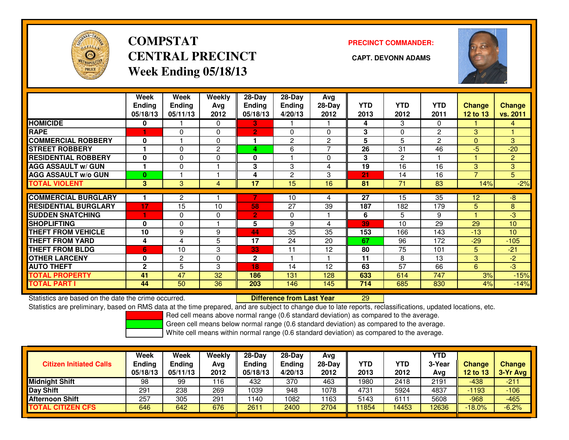

# **COMPSTATCENTRAL PRECINCT CAPT. DEVONN ADAMSWeek Ending 05/18/13**

**PRECINCT COMMANDER:**



|                             | Week<br><b>Ending</b><br>05/18/13 | Week<br><b>Ending</b><br>05/11/13 | <b>Weekly</b><br>Ava<br>2012 | $28-Day$<br>Endina<br>05/18/13 | $28$ -Day<br><b>Endina</b><br>4/20/13 | Avg<br>$28-Day$<br>2012 | <b>YTD</b><br>2013 | <b>YTD</b><br>2012 | <b>YTD</b><br>2011 | <b>Change</b><br><b>12 to 13</b> | <b>Change</b><br>vs. 2011 |
|-----------------------------|-----------------------------------|-----------------------------------|------------------------------|--------------------------------|---------------------------------------|-------------------------|--------------------|--------------------|--------------------|----------------------------------|---------------------------|
| <b>HOMICIDE</b>             | 0                                 |                                   | 0                            | 3.                             |                                       |                         | 4                  | 3                  | 0                  |                                  | 4                         |
| <b>RAPE</b>                 |                                   | O                                 | $\Omega$                     | 2                              | $\Omega$                              | $\Omega$                | 3                  | $\Omega$           | 2                  | 3                                |                           |
| <b>COMMERCIAL ROBBERY</b>   | $\bf{0}$                          |                                   | $\Omega$                     |                                | 2                                     | 2                       | 5                  | 5                  | 2                  | $\Omega$                         | $\mathbf{3}$              |
| <b>STREET ROBBERY</b>       |                                   | $\Omega$                          | $\overline{c}$               | 4                              | 6                                     | 7                       | 26                 | 31                 | 46                 | $-5$                             | $-20$                     |
| <b>RESIDENTIAL ROBBERY</b>  | $\bf{0}$                          | $\Omega$                          | 0                            | 0                              |                                       | $\Omega$                | 3                  | $\overline{2}$     |                    |                                  | $\overline{2}$            |
| <b>AGG ASSAULT w/ GUN</b>   |                                   | $\Omega$                          |                              | 3                              | 3                                     | 4                       | 19                 | 16                 | 16                 | 3                                | 3                         |
| <b>AGG ASSAULT w/o GUN</b>  | $\bf{0}$                          |                                   |                              | 4                              | $\overline{2}$                        | 3                       | 21                 | 14                 | 16                 | $\overline{7}$                   | 5                         |
| <b>TOTAL VIOLENT</b>        | 3                                 | 3                                 | 4                            | 17                             | 15                                    | 16                      | 81                 | 71                 | 83                 | 14%                              | $-2%$                     |
| <b>COMMERCIAL BURGLARY</b>  |                                   | 2                                 |                              |                                | 10                                    | 4                       | 27                 | 15                 | 35                 | 12                               | -8                        |
| <b>RESIDENTIAL BURGLARY</b> | 17                                | 15                                | 10                           | 58                             | 27                                    | 39                      | 187                | 182                | 179                | 5                                | 8                         |
| <b>SUDDEN SNATCHING</b>     | 1                                 | $\Omega$                          | $\Omega$                     | $\overline{2}$                 | 0                                     |                         | 6                  | 5                  | 9                  |                                  | $-3$                      |
| <b>SHOPLIFTING</b>          | $\Omega$                          | 0                                 |                              | 5                              | 9                                     | 4                       | 39                 | 10                 | 29                 | 29                               | 10                        |
| <b>THEFT FROM VEHICLE</b>   | 10                                | 9                                 | 9                            | 44                             | 35                                    | 35                      | 153                | 166                | 143                | $-13$                            | 10                        |
| <b>THEFT FROM YARD</b>      | 4                                 | 4                                 | 5                            | 17                             | 24                                    | 20                      | 67                 | 96                 | 172                | $-29$                            | $-105$                    |
| <b>THEFT FROM BLDG</b>      | 6                                 | 10                                | 3                            | 33                             | 11                                    | 12                      | 80                 | 75                 | 101                | 5                                | $-21$                     |
| <b>OTHER LARCENY</b>        | 0                                 | 2                                 | $\Omega$                     | $\mathbf{2}$                   |                                       |                         | 11                 | 8                  | 13                 | 3                                | $-2$                      |
| <b>AUTO THEFT</b>           | $\mathbf{2}$                      | 5                                 | 3                            | 18                             | 14                                    | 12                      | 63                 | 57                 | 66                 | 6                                | $-3$                      |
| <b>TOTAL PROPERTY</b>       | 41                                | 47                                | 32                           | 186                            | 131                                   | 128                     | 633                | 614                | 747                | 3%                               | $-15%$                    |
| <b>TOTAL PART I</b>         | 44                                | 50                                | 36                           | 203                            | 146                                   | 145                     | 714                | 685                | 830                | 4%                               | $-14%$                    |

Statistics are based on the date the crime occurred. **Difference from Last Year** 

Statistics are based on the date the crime occurred. **Externee the Difference from Last Year The Constant Pase**<br>Statistics are preliminary, based on RMS data at the time prepared, and are subject to change due to late repo

Red cell means above normal range (0.6 standard deviation) as compared to the average.

Green cell means below normal range (0.6 standard deviation) as compared to the average.

| <b>Citizen Initiated Calls</b> | <b>Week</b><br><b>Ending</b><br>05/18/13 | Week<br>Ending<br>05/11/13 | Weekly<br>Avg<br>2012 | $28-Dav$<br><b>Ending</b><br>05/18/13 | $28-Dav$<br><b>Ending</b><br>4/20/13 | Avg<br>$28-Day$<br>2012 | <b>YTD</b><br>2013 | YTD<br>2012 | <b>YTD</b><br>3-Year<br>Avg | <b>Change</b><br>12 to 13 | <b>Change</b><br>3-Yr Avg |
|--------------------------------|------------------------------------------|----------------------------|-----------------------|---------------------------------------|--------------------------------------|-------------------------|--------------------|-------------|-----------------------------|---------------------------|---------------------------|
| <b>Midnight Shift</b>          | 98                                       | 99                         | ∣16                   | 432                                   | 370                                  | 463                     | 1980               | 2418        | 2191                        | $-438$                    | $-211$                    |
| Day Shift                      | 291                                      | 238                        | 269                   | 1039                                  | 948                                  | 1078                    | 4731               | 5924        | 4837                        | -1193                     | $-106$                    |
| <b>Afternoon Shift</b>         | 257                                      | 305                        | 291                   | 140                                   | 1082                                 | 163                     | 5143               | 6111        | 5608                        | $-968$                    | $-465$                    |
| <b>TOTAL CITIZEN CFS</b>       | 646                                      | 642                        | 676                   | 2611                                  | 2400                                 | 2704                    | 11854              | 14453       | 12636                       | $-18.0\%$                 | $-6.2%$                   |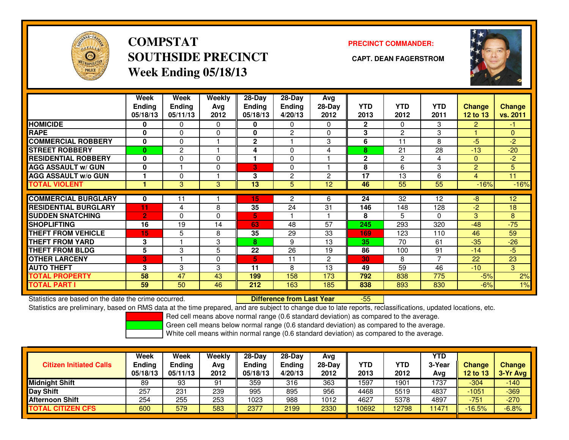

# **COMPSTATSOUTHSIDE PRECINCT CAPT. DEAN FAGERSTROMWeek Ending 05/18/13**

### **PRECINCT COMMANDER:**



|                             | Week<br><b>Ending</b><br>05/18/13 | Week<br><b>Ending</b><br>05/11/13 | Weekly<br>Avg<br>2012 | $28-Day$<br>Ending<br>05/18/13 | 28-Dav<br><b>Ending</b><br>4/20/13 | Avg<br>28-Day<br>2012 | <b>YTD</b><br>2013 | <b>YTD</b><br>2012 | <b>YTD</b><br>2011 | <b>Change</b><br>12 to 13 | Change<br>vs. 2011 |
|-----------------------------|-----------------------------------|-----------------------------------|-----------------------|--------------------------------|------------------------------------|-----------------------|--------------------|--------------------|--------------------|---------------------------|--------------------|
| <b>HOMICIDE</b>             | 0                                 | 0                                 | 0                     | 0                              | 0                                  | 0                     | $\overline{2}$     | $\Omega$           | 3                  | $\overline{2}$            | -1.                |
| <b>RAPE</b>                 | $\bf{0}$                          | 0                                 | 0                     | 0                              | $\overline{2}$                     | 0                     | 3                  | $\overline{2}$     | 3                  |                           | $\overline{0}$     |
| <b>COMMERCIAL ROBBERY</b>   | 0                                 | $\Omega$                          |                       | $\mathbf{2}$                   |                                    | 3                     | 6                  | 11                 | 8                  | $-5$                      | -2                 |
| <b>STREET ROBBERY</b>       | $\bf{0}$                          | $\overline{c}$                    |                       | 4                              | $\Omega$                           | 4                     | 8                  | 21                 | 28                 | $-13$                     | $-20$              |
| <b>RESIDENTIAL ROBBERY</b>  | $\bf{0}$                          | $\Omega$                          | 0                     |                                | $\Omega$                           |                       | $\mathbf{2}$       | $\overline{2}$     | 4                  | $\mathbf{0}$              | $-2$               |
| <b>AGG ASSAULT w/ GUN</b>   | 0                                 |                                   | $\Omega$              | 3.                             | 0                                  |                       | 8                  | 6                  | 3                  | 2                         | 5                  |
| <b>AGG ASSAULT w/o GUN</b>  |                                   | 0                                 |                       | 3                              | 2                                  | $\overline{c}$        | 17                 | 13                 | 6                  | 4                         | 11                 |
| <b>TOTAL VIOLENT</b>        |                                   | 3                                 | 3                     | 13                             | 5                                  | 12                    | 46                 | 55                 | 55                 | $-16%$                    | $-16%$             |
| <b>COMMERCIAL BURGLARY</b>  | $\bf{0}$                          | 11                                |                       | 15                             | 2                                  | 6                     | 24                 | 32                 | 12                 | $-8$                      | 12                 |
| <b>RESIDENTIAL BURGLARY</b> | 11                                | 4                                 | 8                     | 35                             | 24                                 | 31                    | 146                | 148                | 128                | $-2$                      | 18                 |
| <b>SUDDEN SNATCHING</b>     | $\overline{2}$                    | 0                                 | $\Omega$              | 5                              |                                    |                       | 8                  | 5                  | $\Omega$           | 3                         | 8                  |
| <b>SHOPLIFTING</b>          | 16                                | 19                                | 14                    | 63                             | 48                                 | 57                    | 245                | 293                | 320                | $-48$                     | $-75$              |
| <b>THEFT FROM VEHICLE</b>   | 15                                | 5                                 | 8                     | 35                             | 29                                 | 33                    | 169                | 123                | 110                | 46                        | 59                 |
| <b>THEFT FROM YARD</b>      | 3                                 |                                   | 3                     | 8                              | 9                                  | 13                    | 35                 | 70                 | 61                 | $-35$                     | $-26$              |
| <b>THEFT FROM BLDG</b>      | 5                                 | 3                                 | 5                     | 22                             | 26                                 | 19                    | 86                 | 100                | 91                 | $-14$                     | $-5$               |
| <b>OTHER LARCENY</b>        | 3                                 |                                   | $\Omega$              | 6'                             | 11                                 | $\overline{c}$        | 30                 | 8                  | $\overline{7}$     | 22                        | 23                 |
| <b>AUTO THEFT</b>           | 3                                 | 3                                 | 3                     | 11                             | 8                                  | 13                    | 49                 | 59                 | 46                 | $-10$                     | 3                  |
| <b>TOTAL PROPERTY</b>       | 58                                | 47                                | 43                    | 199                            | 158                                | 173                   | 792                | 838                | 775                | $-5%$                     | 2%                 |
| <b>TOTAL PART I</b>         | 59                                | 50                                | 46                    | 212                            | 163                                | 185                   | 838                | 893                | 830                | $-6%$                     | 1%                 |

Statistics are based on the date the crime occurred. **Difference from Last Year** 

-55

Statistics are preliminary, based on RMS data at the time prepared, and are subject to change due to late reports, reclassifications, updated locations, etc.

Red cell means above normal range (0.6 standard deviation) as compared to the average.

Green cell means below normal range (0.6 standard deviation) as compared to the average.

|                                | Week          | <b>Week</b>   | Weekly | $28-Day$      | $28-Dav$ | Avg      |       |            | <b>YTD</b> |               |               |
|--------------------------------|---------------|---------------|--------|---------------|----------|----------|-------|------------|------------|---------------|---------------|
| <b>Citizen Initiated Calls</b> | <b>Ending</b> | <b>Ending</b> | Avg    | <b>Ending</b> | Ending   | $28-Dav$ | YTD   | <b>YTD</b> | 3-Year     | <b>Change</b> | <b>Change</b> |
|                                | 05/18/13      | 05/11/13      | 2012   | 05/18/13      | 4/20/13  | 2012     | 2013  | 2012       | Avg        | 12 to 13      | 3-Yr Avg      |
| <b>Midnight Shift</b>          | 89            | 93            | 91     | 359           | 316      | 363      | 1597  | 1901       | 1737       | $-304$        | $-140$        |
| Day Shift                      | 257           | 231           | 239    | 995           | 895      | 956      | 4468  | 5519       | 4837       | $-1051$       | $-369$        |
| <b>Afternoon Shift</b>         | 254           | 255           | 253    | 1023          | 988      | 1012     | 4627  | 5378       | 4897       | $-751$        | $-270$        |
| <b>TOTAL CITIZEN CFS</b>       | 600           | 579           | 583    | 2377          | 2199     | 2330     | 10692 | 12798      | 1471       | $-16.5%$      | $-6.8%$       |
|                                |               |               |        |               |          |          |       |            |            |               |               |